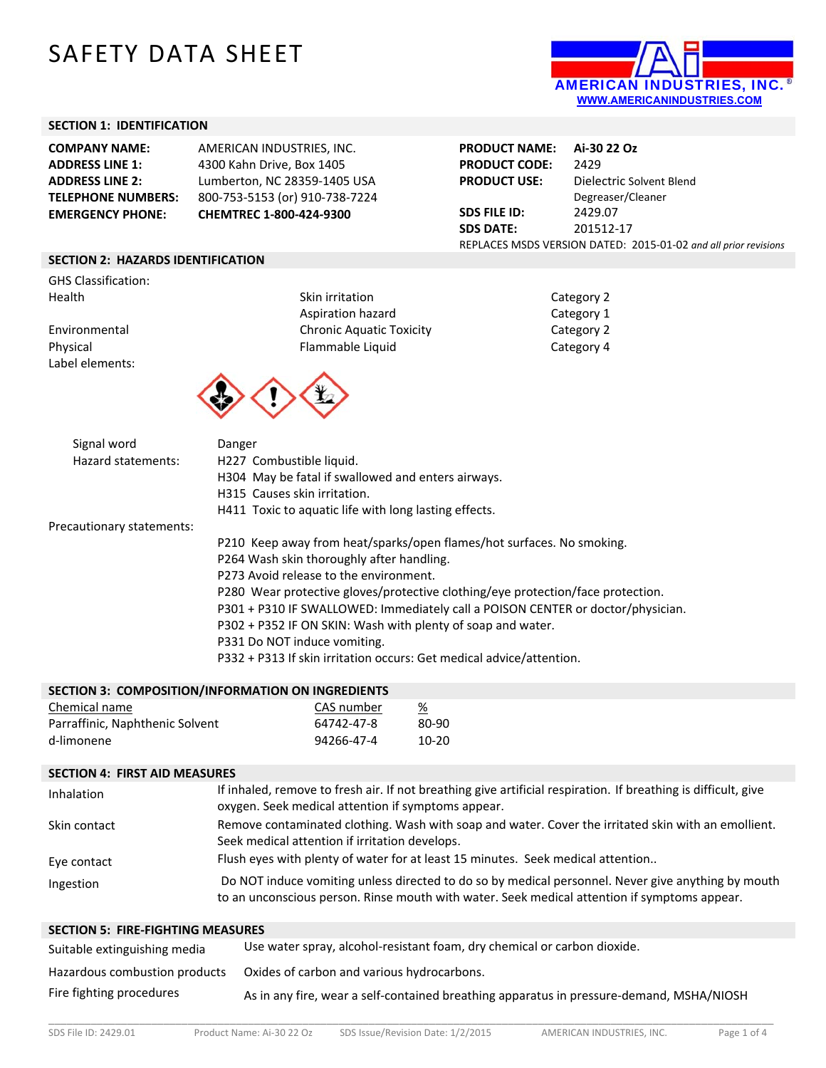# SAFETY DATA SHEET



#### **SECTION 1: IDENTIFICATION**

| <b>COMPANY NAME:</b>      | AMERICAN INDUSTRIES, INC.      |
|---------------------------|--------------------------------|
| <b>ADDRESS LINE 1:</b>    | 4300 Kahn Drive, Box 1405      |
| <b>ADDRESS LINE 2:</b>    | Lumberton, NC 28359-1405 USA   |
| <b>TELEPHONE NUMBERS:</b> | 800-753-5153 (or) 910-738-7224 |
| <b>EMERGENCY PHONE:</b>   | CHEMTREC 1-800-424-9300        |
|                           |                                |

| <b>PRODUCT NAME:</b>                                            | Ai-30 22 Oz              |  |
|-----------------------------------------------------------------|--------------------------|--|
| <b>PRODUCT CODE:</b>                                            | 2429                     |  |
| <b>PRODUCT USE:</b>                                             | Dielectric Solvent Blend |  |
|                                                                 | Degreaser/Cleaner        |  |
| <b>SDS FILE ID:</b>                                             | 2429.07                  |  |
| <b>SDS DATE:</b>                                                | 201512-17                |  |
| REPLACES MSDS VERSION DATED: 2015-01-02 and all prior revisions |                          |  |

#### **SECTION 2: HAZARDS IDENTIFICATION**

GHS Classification:<br>Health

Label elements:

Skin irritation **Skin in the Skin in the Skin in the Skin in the Skin in the Skin in the Skin in the Skin in the Skin in the Skin in the Skin in the Skin in the Skin in the Skin in the Skin in the Skin in the Skin in the S** Aspiration hazard Environmental **Chronic Aquatic Toxicity** Physical **Flammable Liquid Flammable Liquid** 



| $\frac{1}{2}$ |
|---------------|
| Category 1    |
| Category 2    |
| Category 4    |

| Signal word               | Danger                                                                          |
|---------------------------|---------------------------------------------------------------------------------|
| Hazard statements:        | H227 Combustible liquid.                                                        |
|                           | H304 May be fatal if swallowed and enters airways.                              |
|                           | H315 Causes skin irritation.                                                    |
|                           | H411 Toxic to aquatic life with long lasting effects.                           |
| Precautionary statements: |                                                                                 |
|                           | P210 Keep away from heat/sparks/open flames/hot surfaces. No smoking.           |
|                           | P264 Wash skin thoroughly after handling.                                       |
|                           | P273 Avoid release to the environment.                                          |
|                           | P280 Wear protective gloves/protective clothing/eye protection/face protection. |
|                           | P301 + P310 IF SWALLOWED: Immediately call a POISON CENTER or doctor/physician. |
|                           | P302 + P352 IF ON SKIN: Wash with plenty of soap and water.                     |
|                           | P331 Do NOT induce vomiting.                                                    |
|                           | P332 + P313 If skin irritation occurs: Get medical advice/attention.            |
|                           |                                                                                 |

| SECTION 3: COMPOSITION/INFORMATION ON INGREDIENTS |            |       |
|---------------------------------------------------|------------|-------|
| Chemical name                                     | CAS number | %     |
| Parraffinic, Naphthenic Solvent                   | 64742-47-8 | 80-90 |
| d-limonene                                        | 94266-47-4 | 10-20 |

## **SECTION 4: FIRST AID MEASURES**

| Inhalation   | If inhaled, remove to fresh air. If not breathing give artificial respiration. If breathing is difficult, give<br>oxygen. Seek medical attention if symptoms appear.                               |
|--------------|----------------------------------------------------------------------------------------------------------------------------------------------------------------------------------------------------|
| Skin contact | Remove contaminated clothing. Wash with soap and water. Cover the irritated skin with an emollient.<br>Seek medical attention if irritation develops.                                              |
| Eye contact  | Flush eyes with plenty of water for at least 15 minutes. Seek medical attention                                                                                                                    |
| Ingestion    | Do NOT induce vomiting unless directed to do so by medical personnel. Never give anything by mouth<br>to an unconscious person. Rinse mouth with water. Seek medical attention if symptoms appear. |

# **SECTION 5: FIRE‐FIGHTING MEASURES**

| Suitable extinguishing media  | Use water spray, alcohol-resistant foam, dry chemical or carbon dioxide.                 |
|-------------------------------|------------------------------------------------------------------------------------------|
| Hazardous combustion products | Oxides of carbon and various hydrocarbons.                                               |
| Fire fighting procedures      | As in any fire, wear a self-contained breathing apparatus in pressure-demand, MSHA/NIOSH |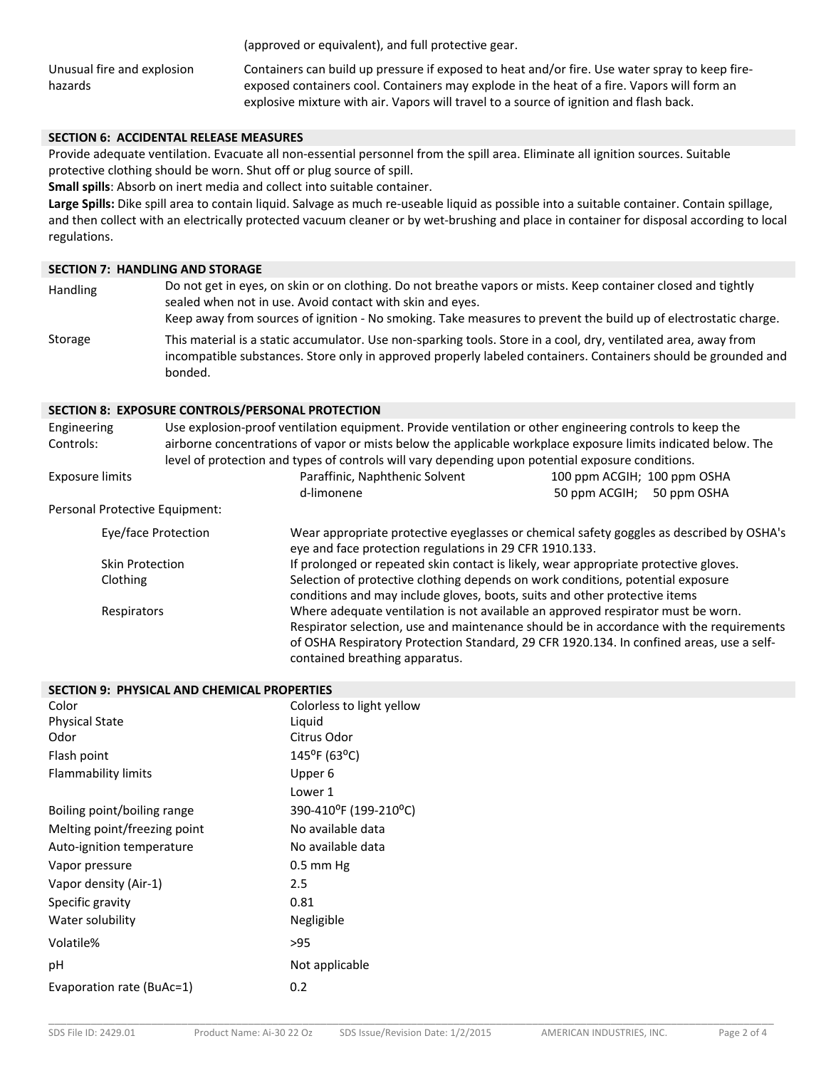(approved or equivalent), and full protective gear.

Unusual fire and explosion hazards

Containers can build up pressure if exposed to heat and/or fire. Use water spray to keep fire‐ exposed containers cool. Containers may explode in the heat of a fire. Vapors will form an explosive mixture with air. Vapors will travel to a source of ignition and flash back.

# **SECTION 6: ACCIDENTAL RELEASE MEASURES**

Provide adequate ventilation. Evacuate all non‐essential personnel from the spill area. Eliminate all ignition sources. Suitable protective clothing should be worn. Shut off or plug source of spill.

**Small spills**: Absorb on inert media and collect into suitable container.

Large Spills: Dike spill area to contain liquid. Salvage as much re-useable liquid as possible into a suitable container. Contain spillage, and then collect with an electrically protected vacuum cleaner or by wet‐brushing and place in container for disposal according to local regulations.

#### **SECTION 7: HANDLING AND STORAGE**

Handling Do not get in eyes, on skin or on clothing. Do not breathe vapors or mists. Keep container closed and tightly sealed when not in use. Avoid contact with skin and eyes. Keep away from sources of ignition ‐ No smoking. Take measures to prevent the build up of electrostatic charge. Storage This material is a static accumulator. Use non-sparking tools. Store in a cool, dry, ventilated area, away from incompatible substances. Store only in approved properly labeled containers. Containers should be grounded and bonded.

#### **SECTION 8: EXPOSURE CONTROLS/PERSONAL PROTECTION**

| Engineering                    | Use explosion-proof ventilation equipment. Provide ventilation or other engineering controls to keep the |                                                                                                                                                                                                                                                                                                           |                             |  |
|--------------------------------|----------------------------------------------------------------------------------------------------------|-----------------------------------------------------------------------------------------------------------------------------------------------------------------------------------------------------------------------------------------------------------------------------------------------------------|-----------------------------|--|
| Controls:                      |                                                                                                          | airborne concentrations of vapor or mists below the applicable workplace exposure limits indicated below. The<br>level of protection and types of controls will vary depending upon potential exposure conditions.                                                                                        |                             |  |
| <b>Exposure limits</b>         |                                                                                                          | Paraffinic, Naphthenic Solvent                                                                                                                                                                                                                                                                            | 100 ppm ACGIH; 100 ppm OSHA |  |
|                                |                                                                                                          | d-limonene                                                                                                                                                                                                                                                                                                | 50 ppm ACGIH; 50 ppm OSHA   |  |
| Personal Protective Equipment: |                                                                                                          |                                                                                                                                                                                                                                                                                                           |                             |  |
| Eye/face Protection            |                                                                                                          | Wear appropriate protective eyeglasses or chemical safety goggles as described by OSHA's<br>eye and face protection regulations in 29 CFR 1910.133.                                                                                                                                                       |                             |  |
| <b>Skin Protection</b>         |                                                                                                          | If prolonged or repeated skin contact is likely, wear appropriate protective gloves.                                                                                                                                                                                                                      |                             |  |
| Clothing                       |                                                                                                          | Selection of protective clothing depends on work conditions, potential exposure<br>conditions and may include gloves, boots, suits and other protective items                                                                                                                                             |                             |  |
| Respirators                    |                                                                                                          | Where adequate ventilation is not available an approved respirator must be worn.<br>Respirator selection, use and maintenance should be in accordance with the requirements<br>of OSHA Respiratory Protection Standard, 29 CFR 1920.134. In confined areas, use a self-<br>contained breathing apparatus. |                             |  |

|                              | <b>SECTION 9: PHYSICAL AND CHEMICAL PROPERTIES</b> |  |  |  |
|------------------------------|----------------------------------------------------|--|--|--|
| Color                        | Colorless to light yellow                          |  |  |  |
| <b>Physical State</b>        | Liquid                                             |  |  |  |
| Odor                         | Citrus Odor                                        |  |  |  |
| Flash point                  | $145^{\circ}$ F (63°C)                             |  |  |  |
| <b>Flammability limits</b>   | Upper 6                                            |  |  |  |
|                              | Lower 1                                            |  |  |  |
| Boiling point/boiling range  | 390-410°F (199-210°C)                              |  |  |  |
| Melting point/freezing point | No available data                                  |  |  |  |
| Auto-ignition temperature    | No available data                                  |  |  |  |
| Vapor pressure               | $0.5$ mm Hg                                        |  |  |  |
| Vapor density (Air-1)        | 2.5                                                |  |  |  |
| Specific gravity             | 0.81                                               |  |  |  |
| Water solubility             | Negligible                                         |  |  |  |
| Volatile%                    | >95                                                |  |  |  |
| рH                           | Not applicable                                     |  |  |  |
| Evaporation rate (BuAc=1)    | 0.2                                                |  |  |  |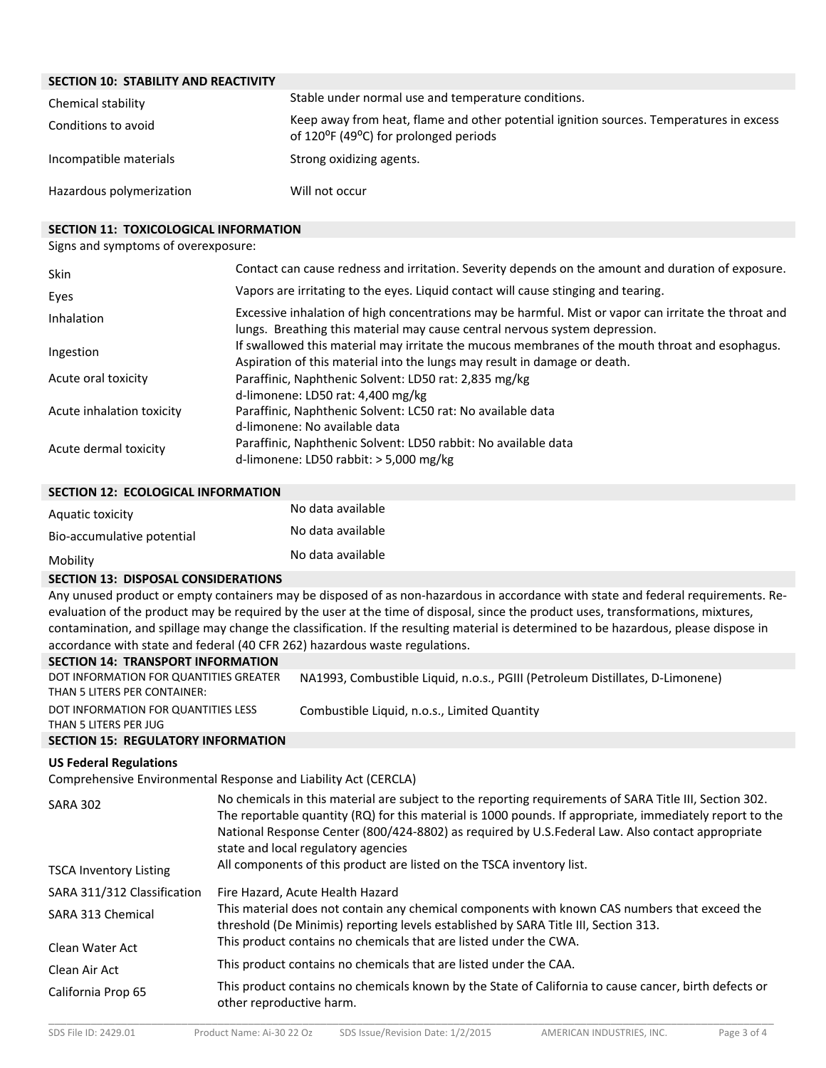# **SECTION 10: STABILITY AND REACTIVITY**

| Chemical stability       | Stable under normal use and temperature conditions.                                                                                                        |  |
|--------------------------|------------------------------------------------------------------------------------------------------------------------------------------------------------|--|
| Conditions to avoid      | Keep away from heat, flame and other potential ignition sources. Temperatures in excess<br>of 120 <sup>o</sup> F (49 <sup>o</sup> C) for prolonged periods |  |
| Incompatible materials   | Strong oxidizing agents.                                                                                                                                   |  |
| Hazardous polymerization | Will not occur                                                                                                                                             |  |

### **SECTION 11: TOXICOLOGICAL INFORMATION**

Signs and symptoms of overexposure:

| <b>Skin</b>               | Contact can cause redness and irritation. Severity depends on the amount and duration of exposure.                                                                                   |
|---------------------------|--------------------------------------------------------------------------------------------------------------------------------------------------------------------------------------|
| Eyes                      | Vapors are irritating to the eyes. Liquid contact will cause stinging and tearing.                                                                                                   |
| Inhalation                | Excessive inhalation of high concentrations may be harmful. Mist or vapor can irritate the throat and<br>lungs. Breathing this material may cause central nervous system depression. |
| Ingestion                 | If swallowed this material may irritate the mucous membranes of the mouth throat and esophagus.<br>Aspiration of this material into the lungs may result in damage or death.         |
| Acute oral toxicity       | Paraffinic, Naphthenic Solvent: LD50 rat: 2,835 mg/kg<br>d-limonene: LD50 rat: 4,400 mg/kg                                                                                           |
| Acute inhalation toxicity | Paraffinic, Naphthenic Solvent: LC50 rat: No available data<br>d-limonene: No available data                                                                                         |
| Acute dermal toxicity     | Paraffinic, Naphthenic Solvent: LD50 rabbit: No available data<br>d-limonene: LD50 rabbit: $>$ 5,000 mg/kg                                                                           |

#### **SECTION 12: ECOLOGICAL INFORMATION**

| Aquatic toxicity           | No data available |
|----------------------------|-------------------|
| Bio-accumulative potential | No data available |
| Mobility                   | No data available |

## **SECTION 13: DISPOSAL CONSIDERATIONS**

Any unused product or empty containers may be disposed of as non-hazardous in accordance with state and federal requirements. Reevaluation of the product may be required by the user at the time of disposal, since the product uses, transformations, mixtures, contamination, and spillage may change the classification. If the resulting material is determined to be hazardous, please dispose in accordance with state and federal (40 CFR 262) hazardous waste regulations.

| <b>SECTION 14: TRANSPORT INFORMATION</b>                               |                                                                               |
|------------------------------------------------------------------------|-------------------------------------------------------------------------------|
| DOT INFORMATION FOR QUANTITIES GREATER<br>THAN 5 LITERS PER CONTAINER: | NA1993, Combustible Liquid, n.o.s., PGIII (Petroleum Distillates, D-Limonene) |
|                                                                        |                                                                               |
| DOT INFORMATION FOR QUANTITIES LESS                                    | Combustible Liquid, n.o.s., Limited Quantity                                  |
| THAN 5 LITERS PER JUG                                                  |                                                                               |
| <b>SECTION 15: REGULATORY INFORMATION</b>                              |                                                                               |

#### **US Federal Regulations**

Comprehensive Environmental Response and Liability Act (CERCLA)

| No chemicals in this material are subject to the reporting requirements of SARA Title III, Section 302.<br>The reportable quantity (RQ) for this material is 1000 pounds. If appropriate, immediately report to the<br>National Response Center (800/424-8802) as required by U.S.Federal Law. Also contact appropriate<br>state and local regulatory agencies<br>All components of this product are listed on the TSCA inventory list. |
|-----------------------------------------------------------------------------------------------------------------------------------------------------------------------------------------------------------------------------------------------------------------------------------------------------------------------------------------------------------------------------------------------------------------------------------------|
| Fire Hazard, Acute Health Hazard                                                                                                                                                                                                                                                                                                                                                                                                        |
| This material does not contain any chemical components with known CAS numbers that exceed the<br>threshold (De Minimis) reporting levels established by SARA Title III, Section 313.                                                                                                                                                                                                                                                    |
| This product contains no chemicals that are listed under the CWA.                                                                                                                                                                                                                                                                                                                                                                       |
| This product contains no chemicals that are listed under the CAA.                                                                                                                                                                                                                                                                                                                                                                       |
| This product contains no chemicals known by the State of California to cause cancer, birth defects or<br>other reproductive harm.                                                                                                                                                                                                                                                                                                       |
|                                                                                                                                                                                                                                                                                                                                                                                                                                         |